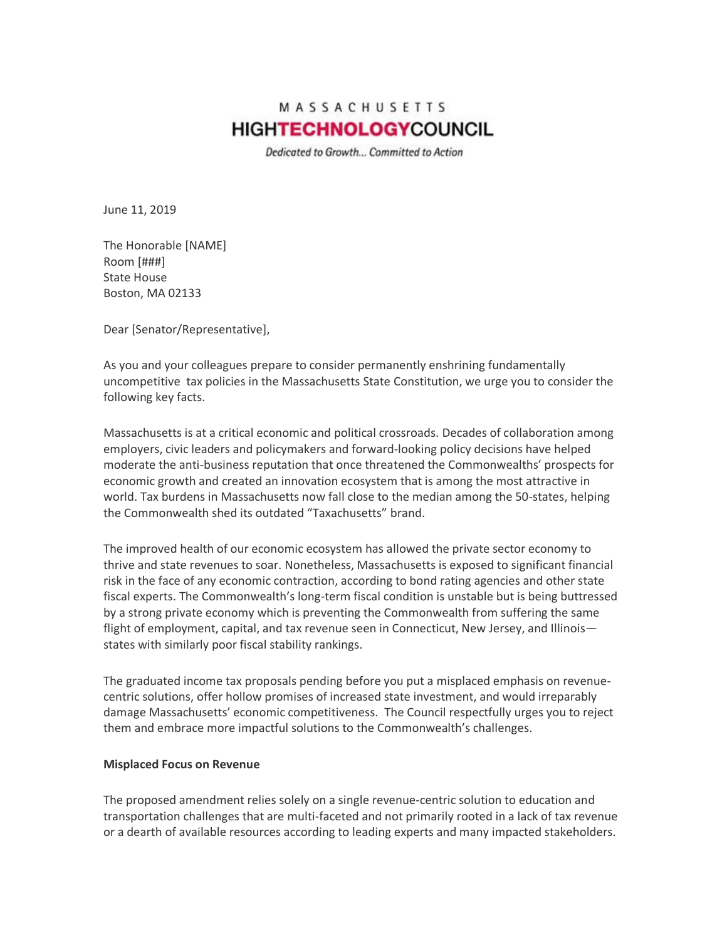# MASSACHUSETTS **HIGHTECHNOLOGY**COUNCIL

Dedicated to Growth... Committed to Action

June 11, 2019

The Honorable [NAME] Room [###] State House Boston, MA 02133

Dear [Senator/Representative],

As you and your colleagues prepare to consider permanently enshrining fundamentally uncompetitive tax policies in the Massachusetts State Constitution, we urge you to consider the following key facts.

Massachusetts is at a critical economic and political crossroads. Decades of collaboration among employers, civic leaders and policymakers and forward-looking policy decisions have helped moderate the anti-business reputation that once threatened the Commonwealths' prospects for economic growth and created an innovation ecosystem that is among the most attractive in world. Tax burdens in Massachusetts now fall close to the median among the 50-states, helping the Commonwealth shed its outdated "Taxachusetts" brand.

The improved health of our economic ecosystem has allowed the private sector economy to thrive and state revenues to soar. Nonetheless, Massachusetts is exposed to significant financial risk in the face of any economic contraction, according to bond rating agencies and other state fiscal experts. The Commonwealth's long-term fiscal condition is unstable but is being buttressed by a strong private economy which is preventing the Commonwealth from suffering the same flight of employment, capital, and tax revenue seen in Connecticut, New Jersey, and Illinois states with similarly poor fiscal stability rankings.

The graduated income tax proposals pending before you put a misplaced emphasis on revenuecentric solutions, offer hollow promises of increased state investment, and would irreparably damage Massachusetts' economic competitiveness. The Council respectfully urges you to reject them and embrace more impactful solutions to the Commonwealth's challenges.

#### **Misplaced Focus on Revenue**

The proposed amendment relies solely on a single revenue-centric solution to education and transportation challenges that are multi-faceted and not primarily rooted in a lack of tax revenue or a dearth of available resources according to leading experts and many impacted stakeholders.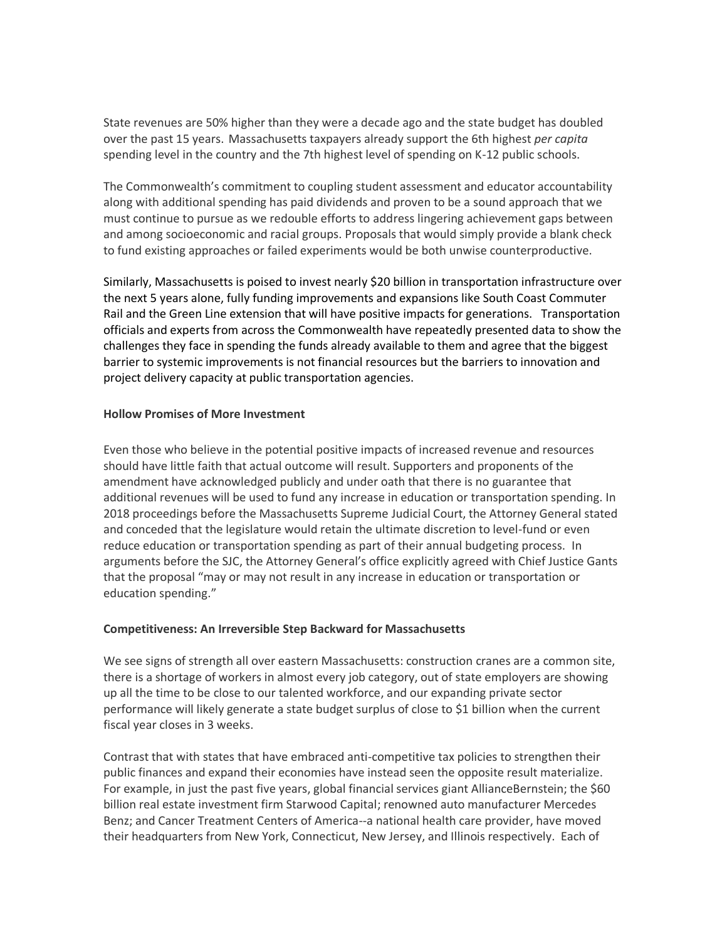State revenues are 50% higher than they were a decade ago and the state budget has doubled over the past 15 years. Massachusetts taxpayers already support the 6th highest *per capita* spending level in the country and the 7th highest level of spending on K-12 public schools.

The Commonwealth's commitment to coupling student assessment and educator accountability along with additional spending has paid dividends and proven to be a sound approach that we must continue to pursue as we redouble efforts to address lingering achievement gaps between and among socioeconomic and racial groups. Proposals that would simply provide a blank check to fund existing approaches or failed experiments would be both unwise counterproductive.

Similarly, Massachusetts is poised to invest nearly \$20 billion in transportation infrastructure over the next 5 years alone, fully funding improvements and expansions like South Coast Commuter Rail and the Green Line extension that will have positive impacts for generations. Transportation officials and experts from across the Commonwealth have repeatedly presented data to show the challenges they face in spending the funds already available to them and agree that the biggest barrier to systemic improvements is not financial resources but the barriers to innovation and project delivery capacity at public transportation agencies.

### **Hollow Promises of More Investment**

Even those who believe in the potential positive impacts of increased revenue and resources should have little faith that actual outcome will result. Supporters and proponents of the amendment have acknowledged publicly and under oath that there is no guarantee that additional revenues will be used to fund any increase in education or transportation spending. In 2018 proceedings before the Massachusetts Supreme Judicial Court, the Attorney General stated and conceded that the legislature would retain the ultimate discretion to level-fund or even reduce education or transportation spending as part of their annual budgeting process. In arguments before the SJC, the Attorney General's office explicitly agreed with Chief Justice Gants that the proposal "may or may not result in any increase in education or transportation or education spending."

## **Competitiveness: An Irreversible Step Backward for Massachusetts**

We see signs of strength all over eastern Massachusetts: construction cranes are a common site, there is a shortage of workers in almost every job category, out of state employers are showing up all the time to be close to our talented workforce, and our expanding private sector performance will likely generate a state budget surplus of close to \$1 billion when the current fiscal year closes in 3 weeks.

Contrast that with states that have embraced anti-competitive tax policies to strengthen their public finances and expand their economies have instead seen the opposite result materialize. For example, in just the past five years, global financial services giant AllianceBernstein; the \$60 billion real estate investment firm Starwood Capital; renowned auto manufacturer Mercedes Benz; and Cancer Treatment Centers of America--a national health care provider, have moved their headquarters from New York, Connecticut, New Jersey, and Illinois respectively. Each of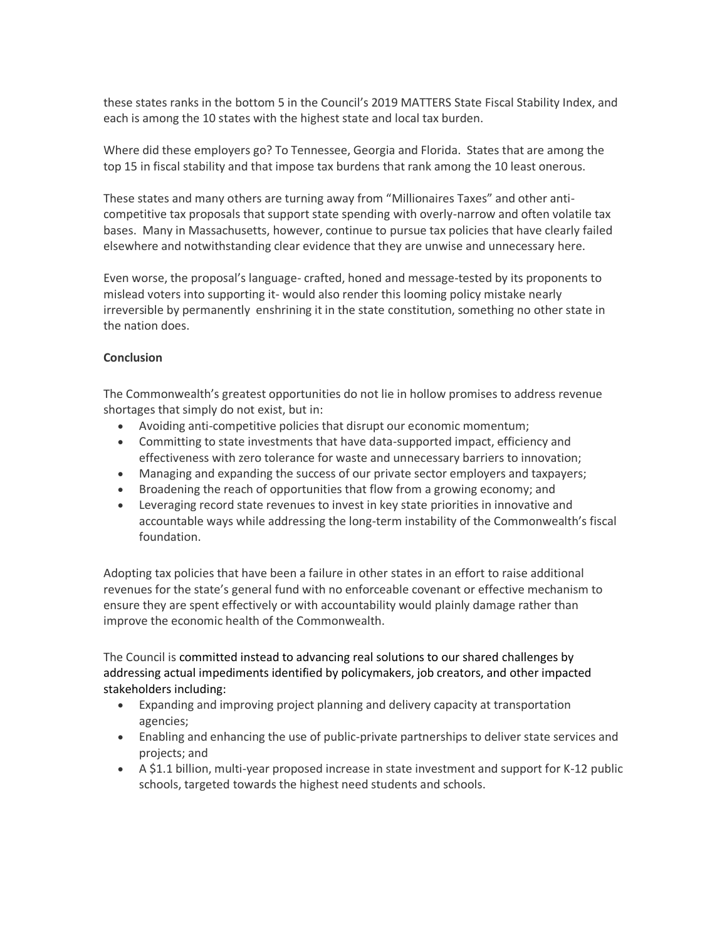these states ranks in the bottom 5 in the Council's 2019 MATTERS State Fiscal Stability Index, and each is among the 10 states with the highest state and local tax burden.

Where did these employers go? To Tennessee, Georgia and Florida. States that are among the top 15 in fiscal stability and that impose tax burdens that rank among the 10 least onerous.

These states and many others are turning away from "Millionaires Taxes" and other anticompetitive tax proposals that support state spending with overly-narrow and often volatile tax bases. Many in Massachusetts, however, continue to pursue tax policies that have clearly failed elsewhere and notwithstanding clear evidence that they are unwise and unnecessary here.

Even worse, the proposal's language- crafted, honed and message-tested by its proponents to mislead voters into supporting it- would also render this looming policy mistake nearly irreversible by permanently enshrining it in the state constitution, something no other state in the nation does.

## **Conclusion**

The Commonwealth's greatest opportunities do not lie in hollow promises to address revenue shortages that simply do not exist, but in:

- Avoiding anti-competitive policies that disrupt our economic momentum;
- Committing to state investments that have data-supported impact, efficiency and effectiveness with zero tolerance for waste and unnecessary barriers to innovation;
- Managing and expanding the success of our private sector employers and taxpayers;
- Broadening the reach of opportunities that flow from a growing economy; and
- Leveraging record state revenues to invest in key state priorities in innovative and accountable ways while addressing the long-term instability of the Commonwealth's fiscal foundation.

Adopting tax policies that have been a failure in other states in an effort to raise additional revenues for the state's general fund with no enforceable covenant or effective mechanism to ensure they are spent effectively or with accountability would plainly damage rather than improve the economic health of the Commonwealth.

The Council is committed instead to advancing real solutions to our shared challenges by addressing actual impediments identified by policymakers, job creators, and other impacted stakeholders including:

- Expanding and improving project planning and delivery capacity at transportation agencies;
- Enabling and enhancing the use of public-private partnerships to deliver state services and projects; and
- A \$1.1 billion, multi-year proposed increase in state investment and support for K-12 public schools, targeted towards the highest need students and schools.